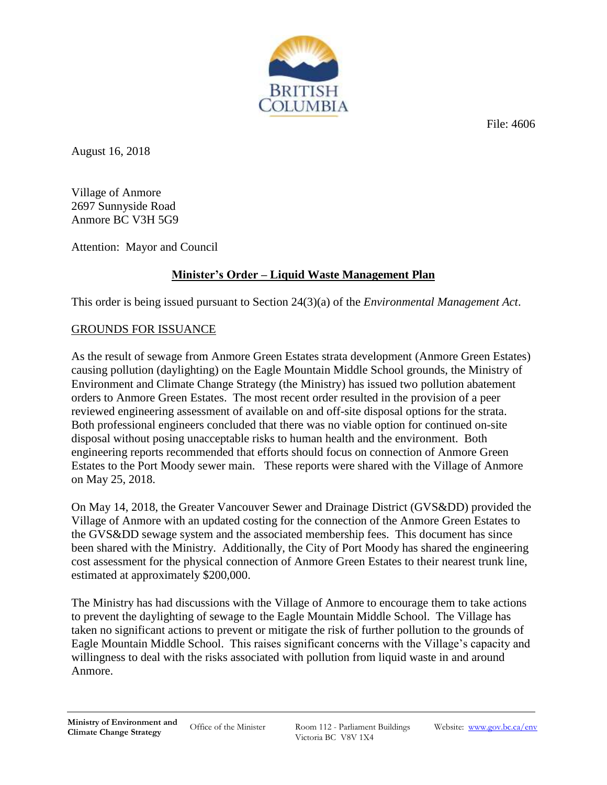File: 4606



August 16, 2018

Village of Anmore 2697 Sunnyside Road Anmore BC V3H 5G9

Attention: Mayor and Council

# **Minister's Order – Liquid Waste Management Plan**

This order is being issued pursuant to Section 24(3)(a) of the *Environmental Management Act*.

# GROUNDS FOR ISSUANCE

As the result of sewage from Anmore Green Estates strata development (Anmore Green Estates) causing pollution (daylighting) on the Eagle Mountain Middle School grounds, the Ministry of Environment and Climate Change Strategy (the Ministry) has issued two pollution abatement orders to Anmore Green Estates. The most recent order resulted in the provision of a peer reviewed engineering assessment of available on and off-site disposal options for the strata. Both professional engineers concluded that there was no viable option for continued on-site disposal without posing unacceptable risks to human health and the environment. Both engineering reports recommended that efforts should focus on connection of Anmore Green Estates to the Port Moody sewer main. These reports were shared with the Village of Anmore on May 25, 2018.

On May 14, 2018, the Greater Vancouver Sewer and Drainage District (GVS&DD) provided the Village of Anmore with an updated costing for the connection of the Anmore Green Estates to the GVS&DD sewage system and the associated membership fees. This document has since been shared with the Ministry. Additionally, the City of Port Moody has shared the engineering cost assessment for the physical connection of Anmore Green Estates to their nearest trunk line, estimated at approximately \$200,000.

The Ministry has had discussions with the Village of Anmore to encourage them to take actions to prevent the daylighting of sewage to the Eagle Mountain Middle School. The Village has taken no significant actions to prevent or mitigate the risk of further pollution to the grounds of Eagle Mountain Middle School. This raises significant concerns with the Village's capacity and willingness to deal with the risks associated with pollution from liquid waste in and around Anmore.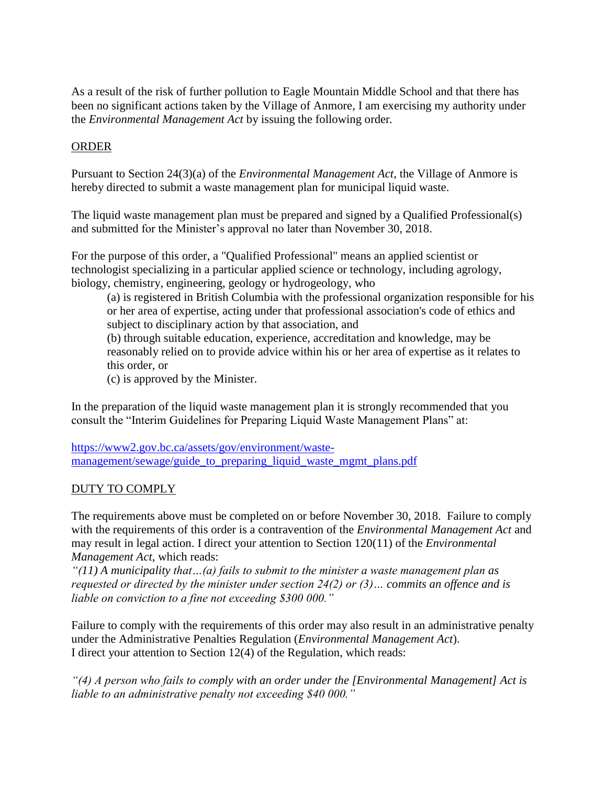As a result of the risk of further pollution to Eagle Mountain Middle School and that there has been no significant actions taken by the Village of Anmore, I am exercising my authority under the *Environmental Management Act* by issuing the following order*.* 

### ORDER

Pursuant to Section 24(3)(a) of the *Environmental Management Act*, the Village of Anmore is hereby directed to submit a waste management plan for municipal liquid waste.

The liquid waste management plan must be prepared and signed by a Qualified Professional(s) and submitted for the Minister's approval no later than November 30, 2018.

For the purpose of this order, a "Qualified Professional" means an applied scientist or technologist specializing in a particular applied science or technology, including agrology, biology, chemistry, engineering, geology or hydrogeology, who

(a) is registered in British Columbia with the professional organization responsible for his or her area of expertise, acting under that professional association's code of ethics and subject to disciplinary action by that association, and

(b) through suitable education, experience, accreditation and knowledge, may be reasonably relied on to provide advice within his or her area of expertise as it relates to this order, or

(c) is approved by the Minister.

In the preparation of the liquid waste management plan it is strongly recommended that you consult the "Interim Guidelines for Preparing Liquid Waste Management Plans" at:

[https://www2.gov.bc.ca/assets/gov/environment/waste](https://www2.gov.bc.ca/assets/gov/environment/waste-management/sewage/guide_to_preparing_liquid_waste_mgmt_plans.pdf)[management/sewage/guide\\_to\\_preparing\\_liquid\\_waste\\_mgmt\\_plans.pdf](https://www2.gov.bc.ca/assets/gov/environment/waste-management/sewage/guide_to_preparing_liquid_waste_mgmt_plans.pdf)

### DUTY TO COMPLY

The requirements above must be completed on or before November 30, 2018. Failure to comply with the requirements of this order is a contravention of the *Environmental Management Act* and may result in legal action. I direct your attention to Section 120(11) of the *Environmental Management Act*, which reads:

*"(11) A municipality that…(a) fails to submit to the minister a waste management plan as requested or directed by the minister under section 24(2) or (3)… commits an offence and is liable on conviction to a fine not exceeding \$300 000."*

Failure to comply with the requirements of this order may also result in an administrative penalty under the Administrative Penalties Regulation (*Environmental Management Act*). I direct your attention to Section 12(4) of the Regulation, which reads:

*"(4) A person who fails to comply with an order under the [Environmental Management] Act is liable to an administrative penalty not exceeding \$40 000."*